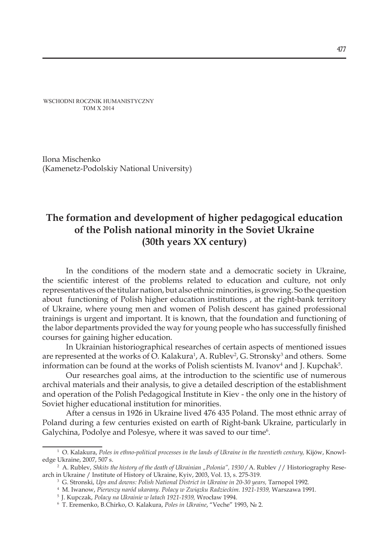WSCHODNI ROCZNIK HUMANISTYCZNY TOM X 2014

Ilona Mischenko (Kamenetz-Podolskiy National University)

## **The formation and development of higher pedagogical education of the Polish national minority in the Soviet Ukraine (30th years XX century)**

In the conditions of the modern state and a democratic society in Ukraine, the scientific interest of the problems related to education and culture, not only representatives of the titular nation, but also ethnic minorities, is growing. So the question about functioning of Polish higher education institutions , at the right-bank territory of Ukraine, where young men and women of Polish descent has gained professional trainings is urgent and important. It is known, that the foundation and functioning of the labor departments provided the way for young people who has successfully finished courses for gaining higher education.

In Ukrainian historiographical researches of certain aspects of mentioned issues are represented at the works of O. Kalakura<sup>1</sup>, A. Rublev<sup>2</sup>, G. Stronsky<sup>3</sup> and others. Some information can be found at the works of Polish scientists M. Ivanov<sup>4</sup> and J. Kupchak<sup>5</sup>.

Our researches goal aims, at the introduction to the scientific use of numerous archival materials and their analysis, to give a detailed description of the establishment and operation of the Polish Pedagogical Institute in Kiev - the only one in the history of Soviet higher educational institution for minorities.

After a census in 1926 in Ukraine lived 476 435 Poland. The most ethnic array of Poland during a few centuries existed on earth of Right-bank Ukraine, particularly in Galychina, Podolye and Polesye, where it was saved to our time<sup>6</sup>.

<sup>&</sup>lt;sup>1</sup> O. Kalakura, Poles in ethno-political processes in the lands of Ukraine in the twentieth century, Kijów, Knowledge Ukraine, 2007, 507 s.

<sup>&</sup>lt;sup>2</sup> A. Rublev, *Shkits the history of the death of Ukrainian "Polonia", 1930* / A. Rublev // Historiography Research in Ukraine / Institute of History of Ukraine, Kyiv, 2003, Vol. 13, s. 275-319.

<sup>3</sup> G. Stronski, *Ups and downs: Polish National District in Ukraine in 20-30 years,* Tarnopol 1992*.*

<sup>4</sup> M. Iwanow, *Pierwszy naród ukarany. Polacy w Związku Radzieckim. 1921-1939,* Warszawa 1991*.*

<sup>5</sup> J. Kupczak, *Polacy na Ukrainie w latach 1921-1939,* Wrocław 1994. 6

T. Eremenko, B.Chirkо, O. Kalakura, *Poles in Ukraine*, "Veche" 1993, № 2.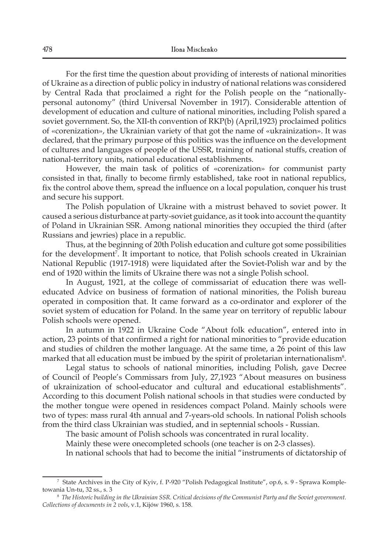For the first time the question about providing of interests of national minorities of Ukraine as a direction of public policy in industry of national relations was considered by Central Rada that proclaimed a right for the Polish people on the "nationallypersonal autonomy" (third Universal November in 1917). Considerable attention of development of education and culture of national minorities, including Polish spared a soviet government. So, the ХІІ-th convention of RKP(b) (April,1923) proclaimed politics of «corenization», the Ukrainian variety of that got the name of «ukrainization». It was declared, that the primary purpose of this politics was the influence on the development of cultures and languages of people of the USSR, training of national stuffs, creation of national-territory units, national educational establishments.

However, the main task of politics of «corenization» for communist party consisted in that, finally to become firmly established, take root in national republics, fix the control above them, spread the influence on a local population, conquer his trust and secure his support.

The Polish population of Ukraine with a mistrust behaved to soviet power. It caused a serious disturbance at party-soviet guidance, as it took into account the quantity of Poland in Ukrainian SSR. Among national minorities they occupied the third (after Russians and jewries) place in a republic.

Thus, at the beginning of 20th Polish education and culture got some possibilities for the development<sup>7</sup>. It important to notice, that Polish schools created in Ukrainian National Republic (1917-1918) were liquidated after the Soviet-Polish war and by the end of 1920 within the limits of Ukraine there was not a single Polish school.

In August, 1921, at the college of commissariat of education there was welleducated Advice on business of formation of national minorities, the Polish bureau operated in composition that. It came forward as a co-ordinator and explorer of the soviet system of education for Poland. In the same year on territory of republic labour Polish schools were opened.

In autumn in 1922 in Ukraine Code "About folk education", entered into in action, 23 points of that confirmed a right for national minorities to "provide education and studies of children the mother language. At the same time, a 26 point of this law marked that all education must be imbued by the spirit of proletarian internationalism $^{\text{s}}$ .

Legal status to schools of national minorities, including Polish, gave Decree of Council of People's Commissars from July, 27,1923 "About measures on business of ukrainization of school-educator and cultural and educational establishments". According to this document Polish national schools in that studies were conducted by the mother tongue were opened in residences compact Poland. Mainly schools were two of types: mass rural 4th annual and 7-years-old schools. In national Polish schools from the third class Ukrainian was studied, and in septennial schools - Russian.

The basic amount of Polish schools was concentrated in rural locality.

Mainly these were onecompleted schools (one teacher is on 2-3 classes).

In national schools that had to become the initial "instruments of dictatorship of

<sup>7</sup> State Archives in the City of Kyiv, f. Р-920 "Polish Pedagogical Institute", оp.6, s. 9 - Sprawa Kompletowania Un-tu, 32 ss., s. 3

 $^8$  The Historic building in the Ukrainian SSR. Critical decisions of the Communist Party and the Soviet government. *Collections of documents in 2 vols*, v.1, Кijów 1960, s. 158.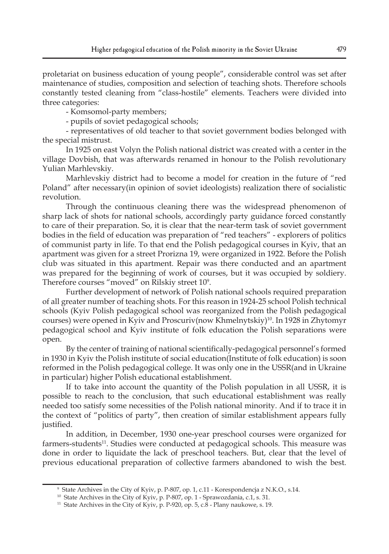proletariat on business education of young people", considerable control was set after maintenance of studies, composition and selection of teaching shots. Therefore schools constantly tested cleaning from "class-hostile" elements. Teachers were divided into three categories:

- Komsomol-party members;

- pupils of soviet pedagogical schools;

- representatives of old teacher to that soviet government bodies belonged with the special mistrust.

In 1925 on east Volyn the Polish national district was created with a center in the village Dovbish, that was afterwards renamed in honour to the Polish revolutionary Yulian Marhlevskiy.

Marhlevskiy district had to become a model for creation in the future of "red Poland" after necessary(in opinion of soviet ideologists) realization there of socialistic revolution.

Through the continuous cleaning there was the widespread phenomenon of sharp lack of shots for national schools, accordingly party guidance forced constantly to care of their preparation. So, it is clear that the near-term task of soviet government bodies in the field of education was preparation of "red teachers" - explorers of politics of communist party in life. To that end the Polish pedagogical courses in Kyiv, that an apartment was given for a street Prorizna 19, were organized in 1922. Before the Polish club was situated in this apartment. Repair was there conducted and an apartment was prepared for the beginning of work of courses, but it was occupied by soldiery. Therefore courses "moved" on Rilskiy street 109 .

Further development of network of Polish national schools required preparation of all greater number of teaching shots. For this reason in 1924-25 school Polish technical schools (Kyiv Polish pedagogical school was reorganized from the Polish pedagogical courses) were opened in Kyiv and Proscuriv(now Khmelnytskiy)<sup>10</sup>. In 1928 in Zhytomyr pedagogical school and Kyiv institute of folk education the Polish separations were open.

By the center of training of national scientifically-pedagogical personnel's formed in 1930 in Kyiv the Polish institute of social education(Institute of folk education) is soon reformed in the Polish pedagogical college. It was only one in the USSR(and in Ukraine in particular) higher Polish educational establishment.

If to take into account the quantity of the Polish population in all USSR, it is possible to reach to the conclusion, that such educational establishment was really needed too satisfy some necessities of the Polish national minority. And if to trace it in the context of "politics of party", then creation of similar establishment appears fully justified.

In addition, in December, 1930 one-year preschool courses were organized for farmers-students<sup>11</sup>. Studies were conducted at pedagogical schools. This measure was done in order to liquidate the lack of preschool teachers. But, clear that the level of previous educational preparation of collective farmers abandoned to wish the best.

<sup>9</sup> State Archives in the City of Kyiv, p. Р-807, оp. 1, с.11 - Korespondencja z N.K.O., s.14.

<sup>&</sup>lt;sup>10</sup> State Archives in the City of Kyiv, p. P-807, op. 1 - Sprawozdania, c.1, s. 31.

<sup>&</sup>lt;sup>11</sup> State Archives in the City of Kyiv, p. P-920, op. 5, c.8 - Plany naukowe, s. 19.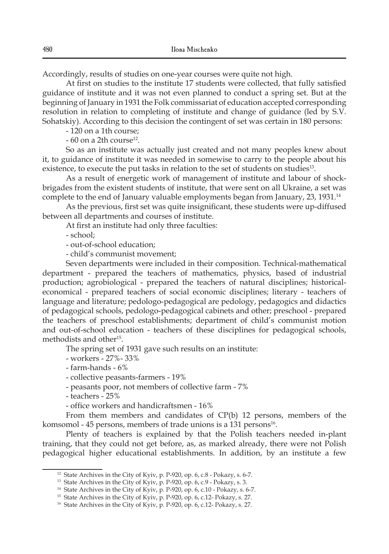Accordingly, results of studies on one-year courses were quite not high.

At first on studies to the institute 17 students were collected, that fully satisfied guidance of institute and it was not even planned to conduct a spring set. But at the beginning of January in 1931 the Folk commissariat of education accepted corresponding resolution in relation to completing of institute and change of guidance (led by S.V. Sohatskiy). According to this decision the contingent of set was certain in 180 persons:

- 120 on a 1th course;

 $-60$  on a 2th course<sup>12</sup>.

So as an institute was actually just created and not many peoples knew about it, to guidance of institute it was needed in somewise to carry to the people about his existence, to execute the put tasks in relation to the set of students on studies<sup>13</sup>.

As a result of energetic work of management of institute and labour of shockbrigades from the existent students of institute, that were sent on all Ukraine, a set was complete to the end of January valuable employments began from January, 23, 1931.14

As the previous, first set was quite insignificant, these students were up-diffused between all departments and courses of institute.

At first an institute had only three faculties:

- school;

- out-of-school education;

- child's communist movement;

Seven departments were included in their composition. Technical-mathematical department - prepared the teachers of mathematics, physics, based of industrial production; agrobiological - prepared the teachers of natural disciplines; historicaleconomical - prepared teachers of social economic disciplines; literary - teachers of language and literature; pedologo-pedagogical are pedology, pedagogics and didactics of pedagogical schools, pedologo-pedagogical cabinets and other; preschool - prepared the teachers of preschool establishments; department of child's communist motion and out-of-school education - teachers of these disciplines for pedagogical schools, methodists and other<sup>15</sup>.

The spring set of 1931 gave such results on an institute:

- workers - 27%- 33%

- farm-hands - 6%

- collective peasants-farmers - 19%

- peasants poor, not members of collective farm - 7%

- teachers - 25%

- office workers and handicraftsmen - 16%

From them members and candidates of CP(b) 12 persons, members of the komsomol - 45 persons, members of trade unions is a 131 persons<sup>16</sup>.

Plenty of teachers is explained by that the Polish teachers needed in-plant training, that they could not get before, as, as marked already, there were not Polish pedagogical higher educational establishments. In addition, by an institute a few

<sup>&</sup>lt;sup>12</sup> State Archives in the City of Kyiv, p. P-920, op.  $6$ ,  $c.8$  - Pokazy, s.  $6-7$ .

<sup>&</sup>lt;sup>13</sup> State Archives in the City of Kyiv, p. P-920, op. 6, c.9 - Pokazy, s. 3.

<sup>&</sup>lt;sup>14</sup> State Archives in the City of Kyiv, p. P-920, op. 6, c.10 - Pokazy, s. 6-7.

<sup>&</sup>lt;sup>15</sup> State Archives in the City of Kyiv, p. P-920, op. 6, c. 12- Pokazy, s. 27.

<sup>16</sup> State Archives in the City of Kyiv, p. Р-920, оp. 6, с.12- Pokazy, s. 27.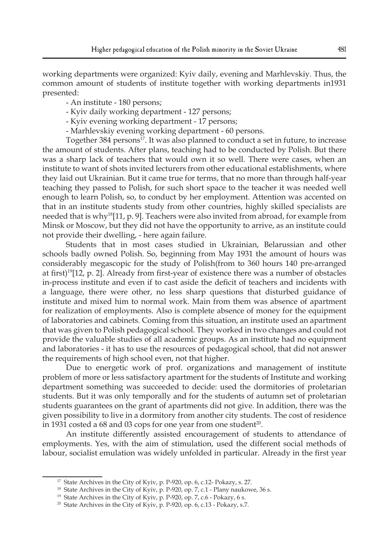working departments were organized: Kyiv daily, evening and Marhlevskiy. Thus, the common amount of students of institute together with working departments in1931 presented:

- An institute - 180 persons;

- Kyiv daily working department 127 persons;
- Kyiv evening working department 17 persons;
- Marhlevskiy evening working department 60 persons.

Together 384 persons<sup>17</sup>. It was also planned to conduct a set in future, to increase the amount of students. After plans, teaching had to be conducted by Polish. But there was a sharp lack of teachers that would own it so well. There were cases, when an institute to want of shots invited lecturers from other educational establishments, where they laid out Ukrainian. But it came true for terms, that no more than through half-year teaching they passed to Polish, for such short space to the teacher it was needed well enough to learn Polish, so, to conduct by her employment. Attention was accented on that in an institute students study from other countries, highly skilled specialists are needed that is why<sup>18</sup>[11, p. 9]. Teachers were also invited from abroad, for example from Minsk or Moscow, but they did not have the opportunity to arrive, as an institute could not provide their dwelling, - here again failure.

Students that in most cases studied in Ukrainian, Belarussian and other schools badly owned Polish. So, beginning from May 1931 the amount of hours was considerably megascopic for the study of Polish(from to 360 hours 140 pre-arranged at first)19[12, p. 2]. Already from first-year of existence there was a number of obstacles in-process institute and even if to cast aside the deficit of teachers and incidents with a language, there were other, no less sharp questions that disturbed guidance of institute and mixed him to normal work. Main from them was absence of apartment for realization of employments. Also is complete absence of money for the equipment of laboratories and cabinets. Coming from this situation, an institute used an apartment that was given to Polish pedagogical school. They worked in two changes and could not provide the valuable studies of all academic groups. As an institute had no equipment and laboratories - it has to use the resources of pedagogical school, that did not answer the requirements of high school even, not that higher.

Due to energetic work of prof. organizations and management of institute problem of more or less satisfactory apartment for the students of Institute and working department something was succeeded to decide: used the dormitories of proletarian students. But it was only temporally and for the students of autumn set of proletarian students guarantees on the grant of apartments did not give. In addition, there was the given possibility to live in a dormitory from another city students. The cost of residence in 1931 costed a 68 and 03 cops for one year from one student<sup>20</sup>.

An institute differently assisted encouragement of students to attendance of employments. Yes, with the aim of stimulation, used the different social methods of labour, socialist emulation was widely unfolded in particular. Already in the first year

<sup>&</sup>lt;sup>17</sup> State Archives in the City of Kyiv, p. P-920, op. 6, c.12- Pokazy, s. 27.

<sup>&</sup>lt;sup>18</sup> State Archives in the City of Kyiv, p. P-920, op. 7, c.1 - Plany naukowe, 36 s.

<sup>&</sup>lt;sup>19</sup> State Archives in the City of Kyiv, p. P-920, op. 7, c.6 - Pokazy, 6 s.

<sup>&</sup>lt;sup>20</sup> State Archives in the City of Kyiv, p. P-920, op. 6, c.13 - Pokazy, s.7.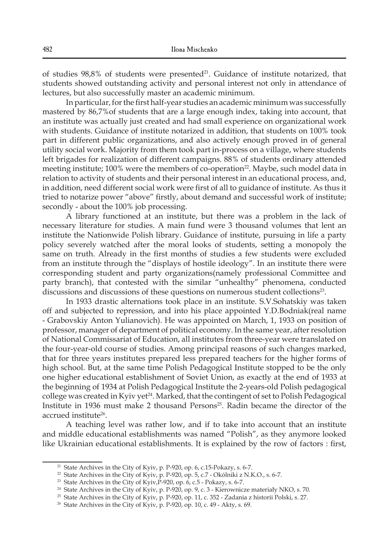of studies 98,8% of students were presented<sup>21</sup>. Guidance of institute notarized, that students showed outstanding activity and personal interest not only in attendance of lectures, but also successfully master an academic minimum.

In particular, for the first half-year studies an academic minimum was successfully mastered by 86,7%of students that are a large enough index, taking into account, that an institute was actually just created and had small experience on organizational work with students. Guidance of institute notarized in addition, that students on 100% took part in different public organizations, and also actively enough proved in of general utility social work. Majority from them took part in-process on a village, where students left brigades for realization of different campaigns. 88% of students ordinary attended meeting institute; 100% were the members of co-operation<sup>22</sup>. Maybe, such model data in relation to activity of students and their personal interest in an educational process, and, in addition, need different social work were first of all to guidance of institute. As thus it tried to notarize power "above" firstly, about demand and successful work of institute; secondly - about the 100% job processing.

A library functioned at an institute, but there was a problem in the lack of necessary literature for studies. A main fund were 3 thousand volumes that lent an institute the Nationwide Polish library. Guidance of institute, pursuing in life a party policy severely watched after the moral looks of students, setting a monopoly the same on truth. Already in the first months of studies a few students were excluded from an institute through the "displays of hostile ideology". In an institute there were corresponding student and party organizations(namely professional Committee and party branch), that contested with the similar "unhealthy" phenomena, conducted discussions and discussions of these questions on numerous student collections23.

In 1933 drastic alternations took place in an institute. S.V.Sohatskiy was taken off and subjected to repression, and into his place appointed Y.D.Bodniak(real name - Grabovskiy Anton Yulianovich). He was appointed on March, 1, 1933 on position of professor, manager of department of political economy. In the same year, after resolution of National Commissariat of Education, all institutes from three-year were translated on the four-year-old course of studies. Among principal reasons of such changes marked, that for three years institutes prepared less prepared teachers for the higher forms of high school. But, at the same time Polish Pedagogical Institute stopped to be the only one higher educational establishment of Soviet Union, as exactly at the end of 1933 at the beginning of 1934 at Polish Pedagogical Institute the 2-years-old Polish pedagogical college was created in Kyiv yet<sup>24</sup>. Marked, that the contingent of set to Polish Pedagogical Institute in 1936 must make 2 thousand Persons $25$ . Radin became the director of the accrued institute<sup>26</sup>.

A teaching level was rather low, and if to take into account that an institute and middle educational establishments was named "Polish", as they anymore looked like Ukrainian educational establishments. It is explained by the row of factors : first,

<sup>&</sup>lt;sup>21</sup> State Archives in the City of Kyiv, p. P-920, op. 6, c.15-Pokazy, s. 6-7.

<sup>&</sup>lt;sup>22</sup> State Archives in the City of Kyiv, p. P-920, op. 5, c.7 - Okólniki z N.K.O., s. 6-7.

<sup>&</sup>lt;sup>23</sup> State Archives in the City of Kyiv, $\vec{P}$ -920, op.  $\vec{6}$ , c.5 - Pokazy, s. 6-7.

<sup>&</sup>lt;sup>24</sup> State Archives in the City of Kyiv, p. P-920, op. 9, c. 3 - Kierownicze materiały NKO, s. 70.

<sup>&</sup>lt;sup>25</sup> State Archives in the City of Kyiv, p. P-920, op. 11, c. 352 - Zadania z historii Polski, s. 27.

<sup>&</sup>lt;sup>26</sup> State Archives in the City of Kyiv, p. P-920, op. 10, c. 49 - Akty, s. 69.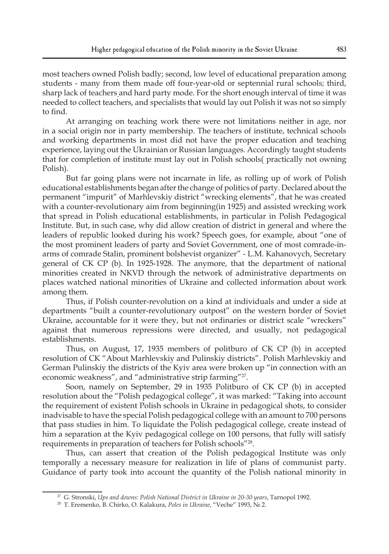most teachers owned Polish badly; second, low level of educational preparation among students - many from them made off four-year-old or septennial rural schools; third, sharp lack of teachers and hard party mode. For the short enough interval of time it was needed to collect teachers, and specialists that would lay out Polish it was not so simply to find.

At arranging on teaching work there were not limitations neither in age, nor in a social origin nor in party membership. The teachers of institute, technical schools and working departments in most did not have the proper education and teaching experience, laying out the Ukrainian or Russian languages. Accordingly taught students that for completion of institute must lay out in Polish schools( practically not owning Polish).

But far going plans were not incarnate in life, as rolling up of work of Polish educational establishments began after the change of politics of party. Declared about the permanent "impurit" of Marhlevskiy district "wrecking elements", that he was created with a counter-revolutionary aim from beginning(in 1925) and assisted wrecking work that spread in Polish educational establishments, in particular in Polish Pedagogical Institute. But, in such case, why did allow creation of district in general and where the leaders of republic looked during his work? Speech goes, for example, about "one of the most prominent leaders of party and Soviet Government, one of most comrade-inarms of comrade Stalin, prominent bolshevist organizer" - L.М. Kahanovych, Secretary general of CK CP (b). In 1925-1928. The anymore, that the department of national minorities created in NKVD through the network of administrative departments on places watched national minorities of Ukraine and collected information about work among them.

Thus, if Polish counter-revolution on a kind at individuals and under a side at departments "built a counter-revolutionary outpost" on the western border of Soviet Ukraine, accountable for it were they, but not ordinaries or district scale "wreckers" against that numerous repressions were directed, and usually, not pedagogical establishments.

Thus, on August, 17, 1935 members of politburo of CK CP (b) in accepted resolution of CK "About Marhlevskiy and Pulinskiy districts". Polish Marhlevskiy and German Pulinskiy the districts of the Kyiv area were broken up "in connection with an economic weakness", and "administrative strip farming"<sup>27</sup>.

Soon, namely on September, 29 in 1935 Politburo of CK CP (b) in accepted resolution about the "Polish pedagogical college", it was marked: "Taking into account the requirement of existent Polish schools in Ukraine in pedagogical shots, to consider inadvisable to have the special Polish pedagogical college with an amount to 700 persons that pass studies in him. To liquidate the Polish pedagogical college, create instead of him a separation at the Kyiv pedagogical college on 100 persons, that fully will satisfy requirements in preparation of teachers for Polish schools"28.

Thus, can assert that creation of the Polish pedagogical Institute was only temporally a necessary measure for realization in life of plans of communist party. Guidance of party took into account the quantity of the Polish national minority in

<sup>27</sup> G. Stronski, *Ups and downs: Polish National District in Ukraine in 20-30 years*, Tarnopol 1992.

<sup>28</sup> T. Eremenko, B. Chirkо, O. Kalakura, *Poles in Ukraine*, "Veche" 1993, № 2.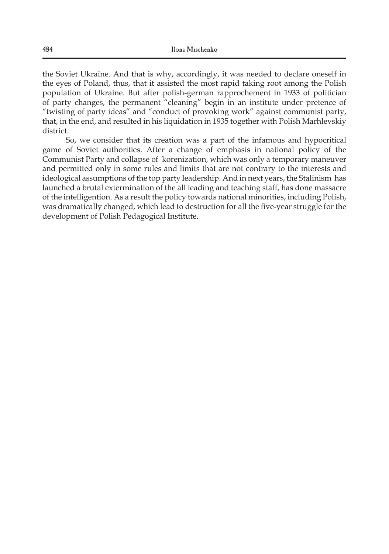the Soviet Ukraine. And that is why, accordingly, it was needed to declare oneself in the eyes of Poland, thus, that it assisted the most rapid taking root among the Polish population of Ukraine. But after polish-german rapprochement in 1933 of politician of party changes, the permanent "cleaning" begin in an institute under pretence of "twisting of party ideas" and "conduct of provoking work" against communist party, that, in the end, and resulted in his liquidation in 1935 together with Polish Marhlevskiy district.

So, we consider that its creation was a part of the infamous and hypocritical game of Soviet authorities. After a change of emphasis in national policy of the Communist Party and collapse of korenization, which was only a temporary maneuver and permitted only in some rules and limits that are not contrary to the interests and ideological assumptions of the top party leadership. And in next years, the Stalinism has launched a brutal extermination of the all leading and teaching staff, has done massacre of the intelligention. As a result the policy towards national minorities, including Polish, was dramatically changed, which lead to destruction for all the five-year struggle for the development of Polish Pedagogical Institute.